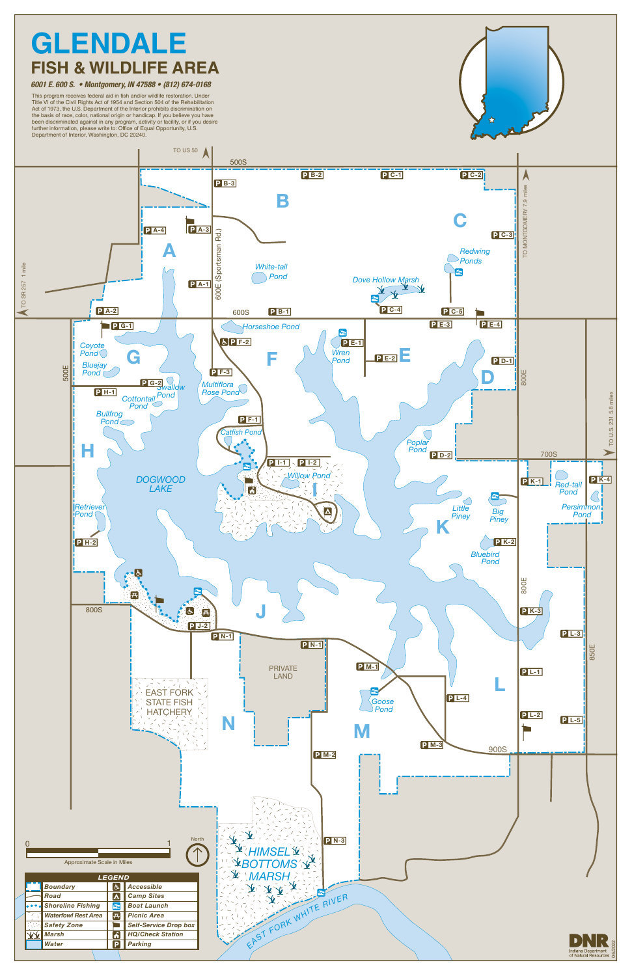

This program receives federal aid in fish and/or wildlife restoration. Under Title VI of the Civil Rights Act of 1954 and Section 504 of the Rehabilitation Act of 1973, the U.S. Department of the Interior prohibits discrimination on the basis of race, color, national origin or handicap. If you believe you have been discriminated against in any program, activity or facility, or if you desire further information, please write to: Office of Equal Opportunity, U.S. Department of Interior, Washington, DC 20240.



#### *6001 E. 600 S. • Montgomery, IN 47588 • (812) 674-0168*

## **GLENDALE FISH & WILDLIFE AREA**